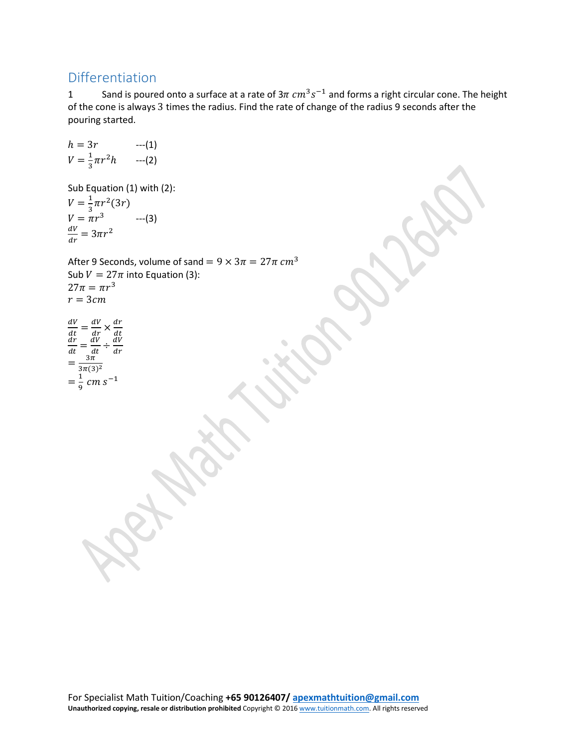## Differentiation

1 Sand is poured onto a surface at a rate of  $3\pi$   $cm^3 s^{-1}$  and forms a right circular cone. The height of the cone is always 3 times the radius. Find the rate of change of the radius 9 seconds after the pouring started.

h = 3r  
\n
$$
V = \frac{1}{3}\pi r^2 h
$$
 -(1)  
\n $V = \frac{1}{3}\pi r^2 h$  -(2)  
\nSub Equation (1) with (2):  
\n $V = \frac{1}{3}\pi r^2 (3r)$   
\n $V = \pi r^3$  -(3)  
\n $\frac{dv}{dr} = 3\pi r^2$   
\nAfter 9 seconds, volume of sand =  $9 \times 3\pi = 27\pi$  cm<sup>3</sup>  
\nSub  $V = 27\pi$  into Equation (3):  
\n $27\pi = \pi r^3$   
\n $r = 3cm$   
\n $\frac{dv}{dt} = \frac{dv}{dt} \times \frac{dr}{dt}$   
\n $= \frac{dv}{dt} \times \frac{dr}{dt}$   
\n $= \frac{dv}{3\pi (3)^2}$   
\n $= \frac{1}{9} cm s^{-1}$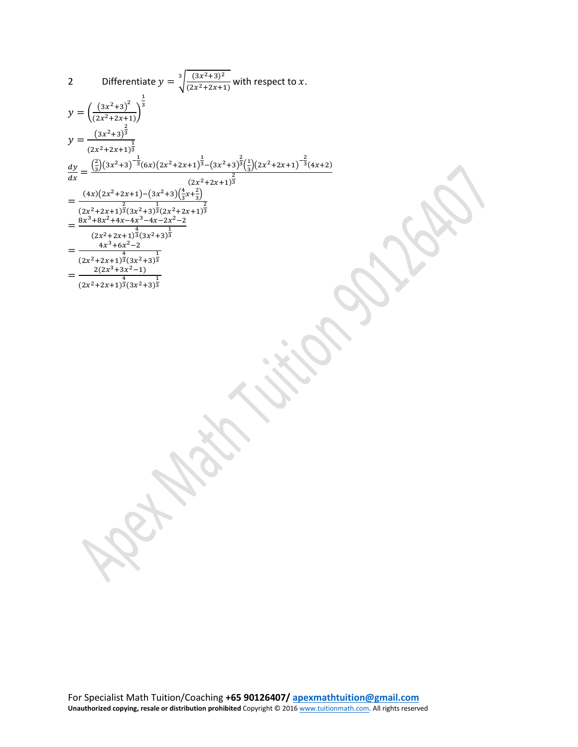2 Differentiate 
$$
y = \sqrt[3]{\frac{(3x^2+3)^2}{(2x^2+2x+1)}}
$$
 with respect to x.  
\n
$$
y = \left(\frac{(3x^2+3)^{\frac{7}{2}}}{(2x^2+2x+1)^{\frac{7}{2}}}
$$
\n
$$
y = \frac{(3x^2+3)^{\frac{7}{2}}}{(2x^2+2x+1)^{\frac{7}{2}}}
$$
\n
$$
\frac{dy}{dx} = \frac{(\frac{2}{3})(3x^2+3)^{\frac{7}{2}}(6x)(2x^2+2x+1)^{\frac{7}{2}}-(3x^2+3)^{\frac{7}{2}}(\frac{2}{3})(2x^2+2x+1)^{\frac{7}{2}}(4x+2)}{(2x^2+2x+1)^{\frac{7}{2}}(3x^2+3)^{\frac{7}{2}}(2x^2+2x+1)^{\frac{7}{2}}}
$$
\n
$$
= \frac{(3x^3+6x^2+4x+4x^3-4x-2x^2-2)}{(2x^2+2x+1)^{\frac{7}{2}}(3x^2+3)^{\frac{7}{2}}}
$$
\n
$$
= \frac{2(2x^3+3x^2-1)}{(2x^2+2x+1)^{\frac{7}{2}}(3x^2+3)^{\frac{7}{2}}}
$$
\n
$$
= \frac{2(2x^3+3x^2-1)}{(2x^2+2x+1)^{\frac{7}{2}}(3x^2+3)^{\frac{7}{2}}}
$$
\n
$$
= \frac{2(2x^3+3x^2-1)}{(2x^2+2x+1)^{\frac{7}{2}}(3x^2+3)^{\frac{7}{2}}}
$$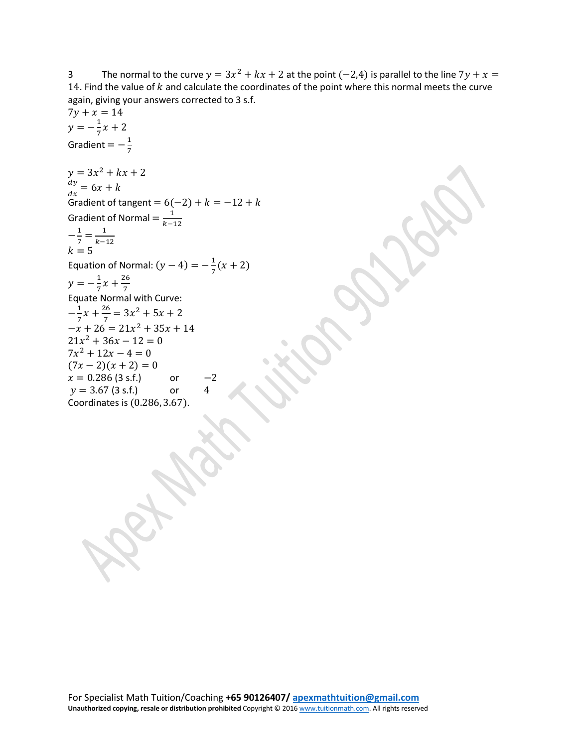3 The normal to the curve  $y = 3x^2 + kx + 2$  at the point (-2,4) is parallel to the line  $7y + x =$ 14. Find the value of  $k$  and calculate the coordinates of the point where this normal meets the curve again, giving your answers corrected to 3 s.f.

```
7y + x = 14y = -\frac{1}{7}x + 2Gradient = -\frac{1}{7}y = 3x^2 + kx + 2= 6x + kGradient of tangent = 6(-2) + k = -12 + kGradient of Normal = \frac{1}{k-12}-\frac{1}{7} = \frac{1}{k-12}k = 5Equation of Normal: (y - 4) = -\frac{1}{7}(x + 2)y = -\frac{1}{7}x + \frac{26}{7}Equate Normal with Curve:
-\frac{1}{7}x + \frac{26}{7} = 3x^2 + 5x + 2-x + 26 = 21x^2 + 35x + 1421x^2 + 36x - 12 = 07x^2 + 12x - 4 = 0(7x-2)(x+2) = 0x = 0.286 (3 s.f.) or -2<br>y = 3.67 (3 s.f.) or 4
y = 3.67 (3 s.f.) or
Coordinates is (0.286, 3.67).
```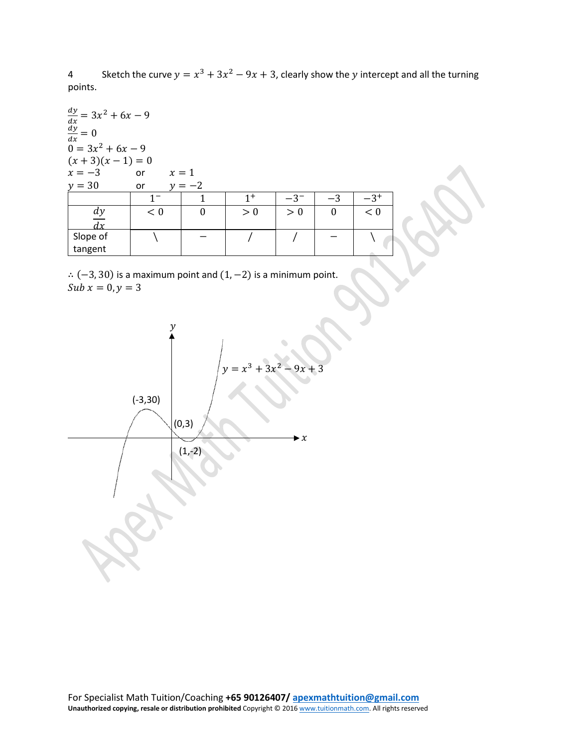4 Sketch the curve  $y = x^3 + 3x^2 - 9x + 3$ , clearly show the y intercept and all the turning points.

| $\frac{dy}{dx} = 3x^2 + 6x - 9$<br>$\frac{dy}{dx} = 0$<br>$0 = 3x^2 + 6x - 9$ |         |          |       |          |          |          |
|-------------------------------------------------------------------------------|---------|----------|-------|----------|----------|----------|
| $(x+3)(x-1) = 0$                                                              |         |          |       |          |          |          |
| $x = -3$<br>$x=1$<br>or                                                       |         |          |       |          |          |          |
| $y = 30$<br>$y=-2$<br>or                                                      |         |          |       |          |          |          |
|                                                                               | $1^{-}$ | 1        | $1^+$ | $-3^{-}$ | $-3$     | $-3^{+}$ |
|                                                                               | < 0     | $\theta$ | > 0   | > 0      | $\theta$ | < 0      |
| $\frac{dy}{dx}$                                                               |         |          |       |          |          |          |
| Slope of                                                                      |         |          |       |          |          |          |
| tangent                                                                       |         |          |       |          |          |          |

 $\therefore$   $(-3, 30)$  is a maximum point and  $(1, -2)$  is a minimum point.  $x = 0, y = 3$ 

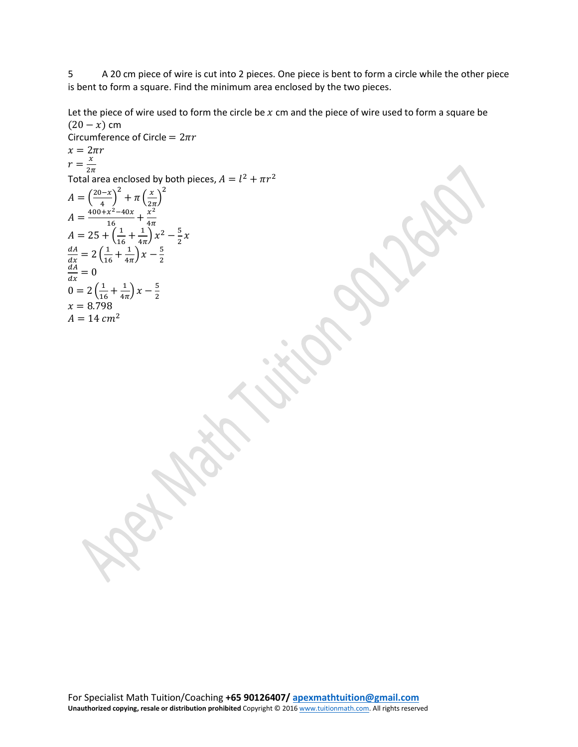5 A 20 cm piece of wire is cut into 2 pieces. One piece is bent to form a circle while the other piece is bent to form a square. Find the minimum area enclosed by the two pieces.

Let the piece of wire used to form the circle be  $x$  cm and the piece of wire used to form a square be  $(20 - x)$  cm

Correcolorence of Circle = 
$$
2\pi r
$$

\n $x = 2\pi r$ 

\n $r = \frac{x}{2\pi}$ 

\nTotal area enclosed by both pieces,  $A = l^2 + \pi r^2$ 

\n $A = \frac{(20-x)^2}{4} + \pi \left(\frac{x}{2\pi}\right)^2$ 

\n $A = \frac{400+x^2-40x}{16} + \frac{x^2}{4\pi}$ 

\n $A = 25 + \left(\frac{1}{16} + \frac{1}{4\pi}\right)x - \frac{5}{2}$ 

\n $\frac{dA}{dx} = 2\left(\frac{1}{16} + \frac{1}{4\pi}\right)x - \frac{5}{2}$ 

\n $\frac{dA}{dx} = 0$ 

\n $0 = 2\left(\frac{1}{16} + \frac{1}{4\pi}\right)x - \frac{5}{2}$ 

\n $A = 14 \text{ cm}^2$ 

\n $A = 14 \text{ cm}^2$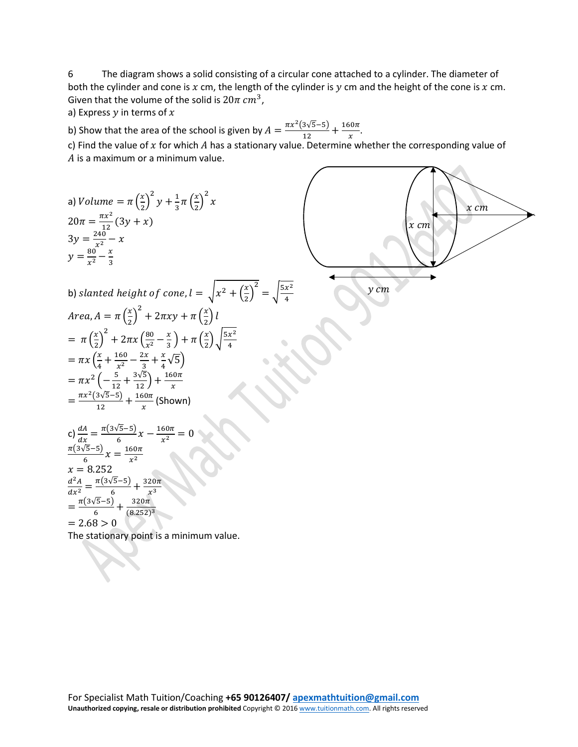6 The diagram shows a solid consisting of a circular cone attached to a cylinder. The diameter of both the cylinder and cone is  $x$  cm, the length of the cylinder is  $y$  cm and the height of the cone is  $x$  cm. Given that the volume of the solid is  $20\pi$   $cm^3$ ,

a) Express  $y$  in terms of  $x$ 

b) Show that the area of the school is given by  $A = \frac{\pi x^2 (3\sqrt{5}-5)}{12} + \frac{160\pi}{x}$ .

c) Find the value of  $x$  for which  $A$  has a stationary value. Determine whether the corresponding value of  $A$  is a maximum or a minimum value.

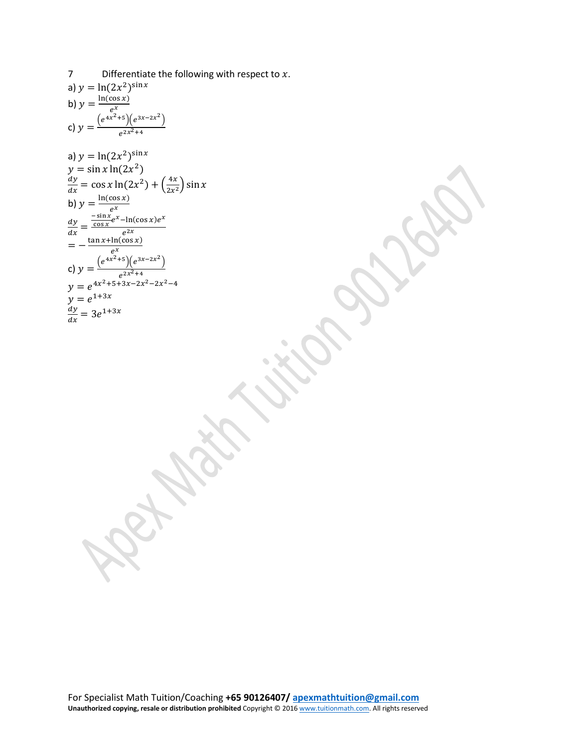7 Differentiate the following with respect to  $x$ . a)  $y = ln(2x^2)^{sin x}$ b)  $y = \frac{\ln(\cos x)}{e^x}$ <br>c)  $y = \frac{(e^{4x^2+5})(e^{3x-2x^2})}{e^{2x^2+4}}$  $e^{2x^2+4}$ a)  $y = \ln(2x^2)^{\sin x}$  $y = \sin x \ln(2x^2)$  $=$  cos x ln(2x<sup>2</sup>) +  $\left(\frac{4x}{2x^2}\right)$  sin x b)  $y = \frac{\ln(\cos x)}{e^x}$ =  $\frac{-\sin x}{\cos x}e^{x}$ –ln(cos x) $e^{x}$  $e^{2x}$ =  $-\frac{\tan x + \ln(\cos x)}{e^x}$ <br>c)  $y = \frac{(e^{4x^2+5})(e^{3x-2x^2})}{e^{2x^2+4}}$  $e^{2x^2+4}$  $y = e^{4x^2+5+3x-2x^2-2x^2-4}$  $y = e^{1+3x}$  $= 3 e^{1+3x}$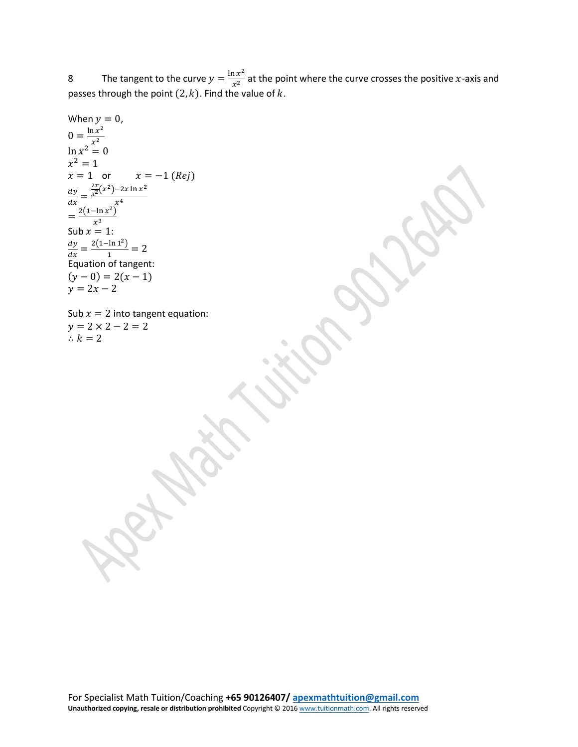8 The tangent to the curve  $y = \frac{\ln x^2}{x^2}$  at the point where the curve crosses the positive x-axis and passes through the point  $(2, k)$ . Find the value of k.

When 
$$
y = 0
$$
,  
\n
$$
0 = \frac{\ln x^2}{x^2}
$$
\n
$$
\ln x^2 = 0
$$
\n
$$
x^2 = 1
$$
\n
$$
x = 1 \text{ or } x = -1 (Rej)
$$
\n
$$
\frac{dy}{dx} = \frac{\frac{2x}{x^2}(x^2) - 2x \ln x^2}{x^4}
$$
\n
$$
= \frac{2(1 - \ln x^2)}{x^3}
$$
\nSub  $x = 1$ :  
\n
$$
\frac{dy}{dx} = \frac{2(1 - \ln 1^2)}{1} = 2
$$
\nEquation of tangent:  
\n
$$
(y - 0) = 2(x - 1)
$$
\n
$$
y = 2x - 2
$$

Sub  $x = 2$  into tangent equation:  $y = 2 \times 2 - 2 = 2$  $\therefore k = 2$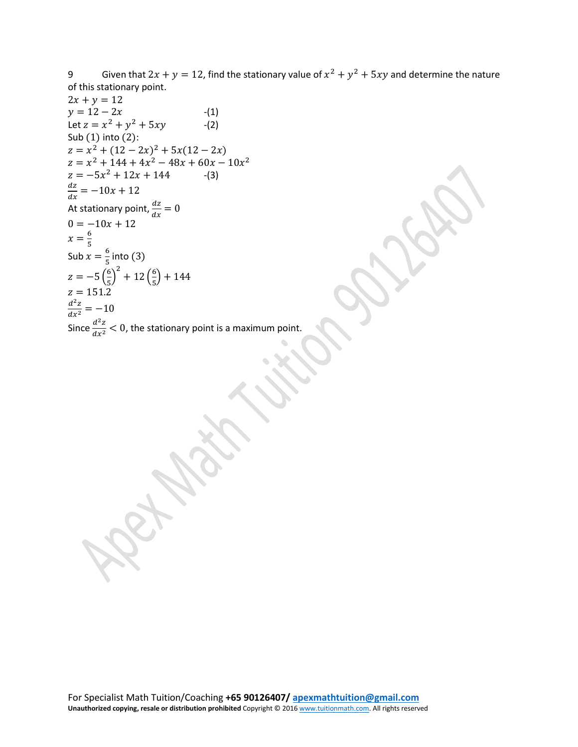9 Given that  $2x + y = 12$ , find the stationary value of  $x^2 + y^2 + 5xy$  and determine the nature of this stationary point.

 $2x + y = 12$  $y = 12 - 2x$  -(1)<br>Let  $z = x^2 + y^2 + 5xy$  -(2) Let  $z = x^2 + y^2 + 5xy$ Sub (1) into (2):  $z = x^2 + (12 - 2x)^2 + 5x(12 - 2x)$  $z = x^2 + 144 + 4x^2 - 48x + 60x - 10x^2$  $z = -5x^2 + 12x + 144$  -(3)  $\frac{dz}{dx} = -10x + 12$ At stationary point,  $\frac{dz}{dx} = 0$  $0 = -10x + 12$  $x = \frac{6}{5}$ Sub  $x=\frac{6}{5}$  into (3) 5  $z = -5 \left( \frac{6}{5} \right)$  $\frac{1}{5}$ 2  $+12\left(\frac{6}{5}\right)$  $\frac{1}{5}$  + 144  $z = 151.2$ <br> $d^2z$  $\frac{1}{x^2} = -10$ Since  $\frac{d^2z}{dx^2}$  < 0, the stationary point is a maximum point.